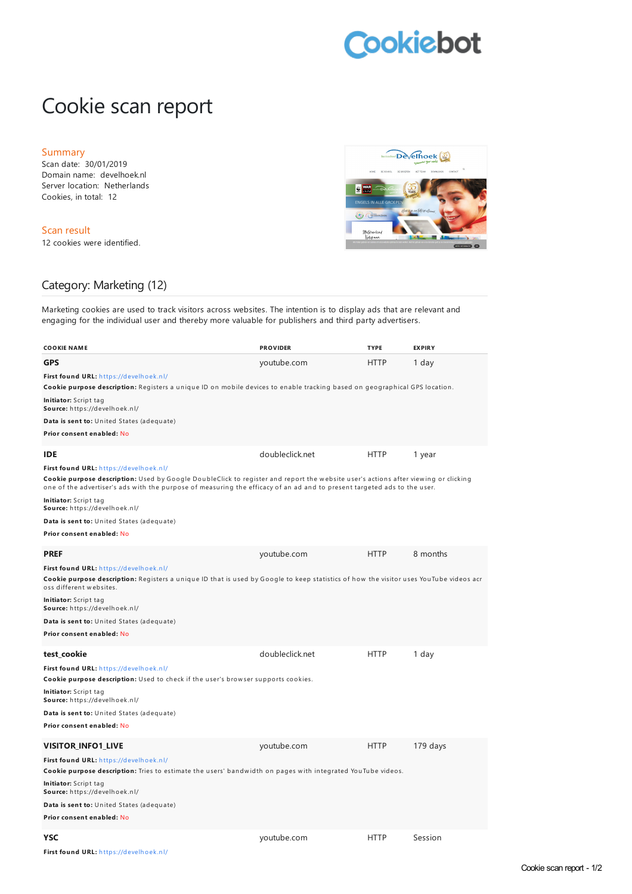## **Cookiebot**

## Cookie scan report

## Summary

Scan date: 30/01/2019 Domain name: develhoek.nl Server location: Netherlands Cookies, in total: 12

Scan result 12 cookies were identified.



## Category: Marketing (12)

Marketing cookies are used to track visitors across websites. The intention is to display ads that are relevant and engaging for the individual user and thereby more valuable for publishers and third party advertisers.

| <b>COOKIE NAME</b>                                                                                                                                                                                                                                                                                       | <b>PROVIDER</b> | <b>TYPE</b> | <b>EXPIRY</b> |  |
|----------------------------------------------------------------------------------------------------------------------------------------------------------------------------------------------------------------------------------------------------------------------------------------------------------|-----------------|-------------|---------------|--|
|                                                                                                                                                                                                                                                                                                          |                 |             |               |  |
| GPS                                                                                                                                                                                                                                                                                                      | youtube.com     | <b>HTTP</b> | 1 day         |  |
| First found URL: https://develhoek.nl/<br>Cookie purpose description: Registers a unique ID on mobile devices to enable tracking based on geographical GPS location.                                                                                                                                     |                 |             |               |  |
| Initiator: Script tag<br>Source: https://develhoek.nl/                                                                                                                                                                                                                                                   |                 |             |               |  |
| Data is sent to: United States (adequate)                                                                                                                                                                                                                                                                |                 |             |               |  |
| Prior consent enabled: No                                                                                                                                                                                                                                                                                |                 |             |               |  |
| IDE                                                                                                                                                                                                                                                                                                      | doubleclick.net | <b>HTTP</b> | 1 year        |  |
| First found URL: https://develhoek.nl/<br>Cookie purpose description: Used by Google DoubleClick to register and report the website user's actions after viewing or clicking<br>one of the advertiser's ads with the purpose of measuring the efficacy of an ad and to present targeted ads to the user. |                 |             |               |  |
| Initiator: Script tag<br>Source: https://develhoek.nl/                                                                                                                                                                                                                                                   |                 |             |               |  |
| Data is sent to: United States (adequate)                                                                                                                                                                                                                                                                |                 |             |               |  |
| Prior consent enabled: No                                                                                                                                                                                                                                                                                |                 |             |               |  |
| PREF                                                                                                                                                                                                                                                                                                     | youtube.com     | <b>HTTP</b> | 8 months      |  |
| First found URL: https://develhoek.nl/                                                                                                                                                                                                                                                                   |                 |             |               |  |
| Cookie purpose description: Registers a unique ID that is used by Google to keep statistics of how the visitor uses YouTube videos acr<br>oss different websites.                                                                                                                                        |                 |             |               |  |
| Initiator: Script tag<br>Source: https://develhoek.nl/                                                                                                                                                                                                                                                   |                 |             |               |  |
| Data is sent to: United States (adequate)                                                                                                                                                                                                                                                                |                 |             |               |  |
| Prior consent enabled: No                                                                                                                                                                                                                                                                                |                 |             |               |  |
| test_cookie                                                                                                                                                                                                                                                                                              | doubleclick.net | <b>HTTP</b> | 1 day         |  |
| First found URL: https://develhoek.nl/                                                                                                                                                                                                                                                                   |                 |             |               |  |
| Cookie purpose description: Used to check if the user's browser supports cookies.                                                                                                                                                                                                                        |                 |             |               |  |
| <b>Initiator:</b> Script tag<br>Source: https://develhoek.nl/                                                                                                                                                                                                                                            |                 |             |               |  |
| Data is sent to: United States (adequate)                                                                                                                                                                                                                                                                |                 |             |               |  |
| Prior consent enabled: No                                                                                                                                                                                                                                                                                |                 |             |               |  |
| VISITOR INFO1 LIVE                                                                                                                                                                                                                                                                                       | youtube.com     | <b>HTTP</b> | $179$ days    |  |
| First found URL: https://develhoek.nl/                                                                                                                                                                                                                                                                   |                 |             |               |  |
| Cookie purpose description: Tries to estimate the users' bandwidth on pages with integrated YouTube videos.                                                                                                                                                                                              |                 |             |               |  |
| Initiator: Script tag<br>Source: https://develhoek.nl/                                                                                                                                                                                                                                                   |                 |             |               |  |
| Data is sent to: United States (adequate)                                                                                                                                                                                                                                                                |                 |             |               |  |
| Prior consent enabled: No                                                                                                                                                                                                                                                                                |                 |             |               |  |
| YSC                                                                                                                                                                                                                                                                                                      | youtube.com     | <b>HTTP</b> | Session       |  |

**First found URL:** h [ttps://develh](https://develhoek.nl/) oek.n l/